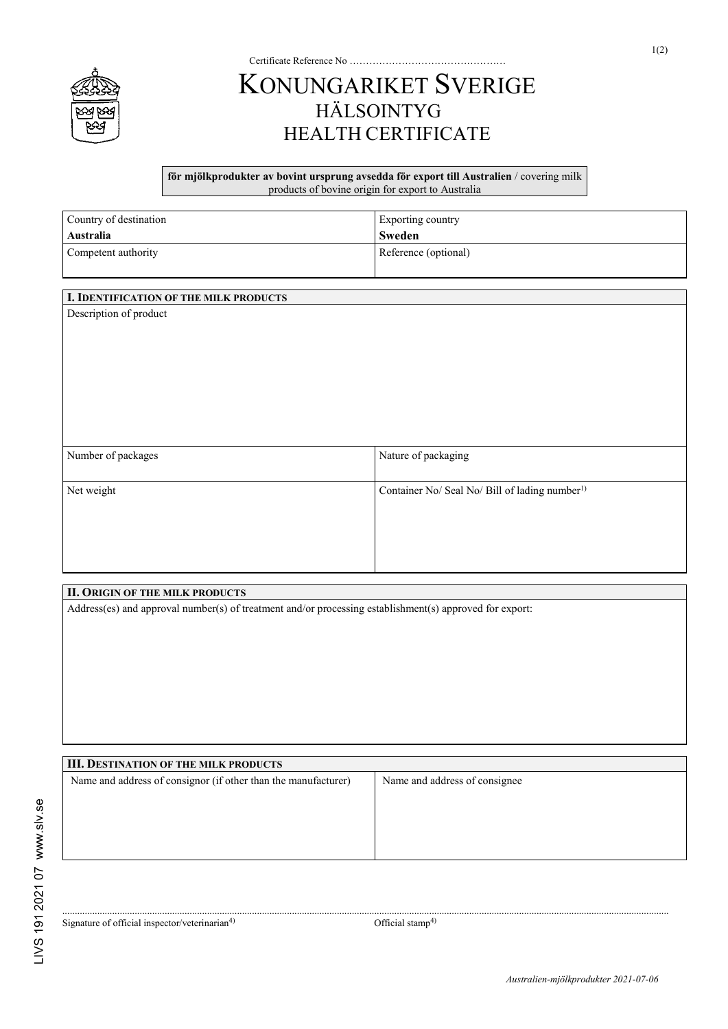

## KONUNGARIKET SVERIGE HÄLSOINTYG HEALTH CERTIFICATE

Certificate Reference No …………………………………………

**för mjölkprodukter av bovint ursprung avsedda för export till Australien** / covering milk products of bovine origin for export to Australia

| Country of destination | Exporting country    |
|------------------------|----------------------|
| Australia              | Sweden               |
| Competent authority    | Reference (optional) |

| I. IDENTIFICATION OF THE MILK PRODUCTS |                                                            |
|----------------------------------------|------------------------------------------------------------|
| Description of product                 |                                                            |
| Number of packages                     | Nature of packaging                                        |
| Net weight                             | Container No/ Seal No/ Bill of lading number <sup>1)</sup> |

| <b>II. ORIGIN OF THE MILK PRODUCTS</b>                                                                  |                               |  |
|---------------------------------------------------------------------------------------------------------|-------------------------------|--|
| Address(es) and approval number(s) of treatment and/or processing establishment(s) approved for export: |                               |  |
|                                                                                                         |                               |  |
|                                                                                                         |                               |  |
|                                                                                                         |                               |  |
|                                                                                                         |                               |  |
|                                                                                                         |                               |  |
|                                                                                                         |                               |  |
|                                                                                                         |                               |  |
|                                                                                                         |                               |  |
|                                                                                                         |                               |  |
| <b>III. DESTINATION OF THE MILK PRODUCTS</b>                                                            |                               |  |
| Name and address of consignor (if other than the manufacturer)                                          | Name and address of consignee |  |

Signature of official inspector/veterinarian<sup>4)</sup> Official stamp<sup>4)</sup>

...................................................................................................................................................................................................................................................